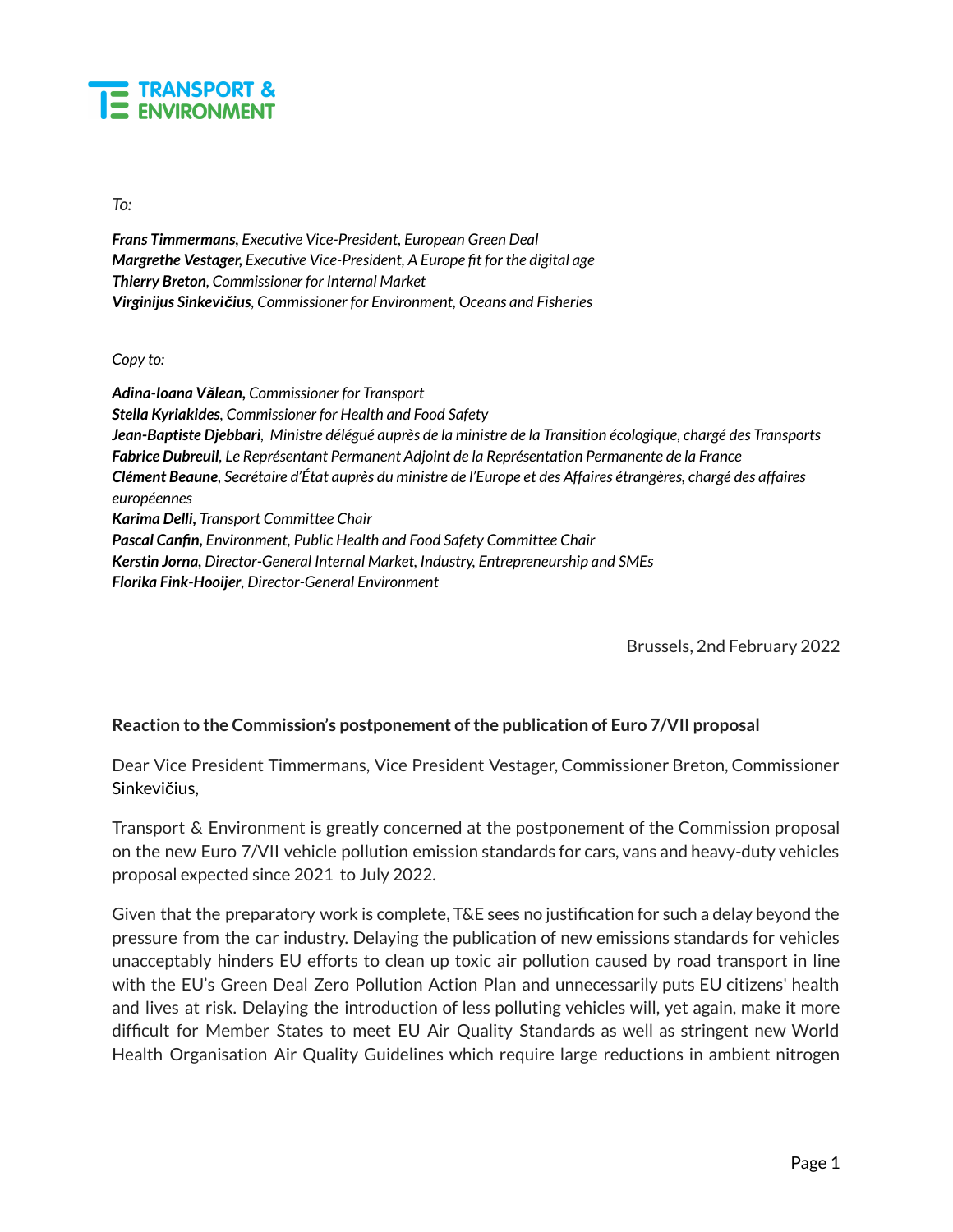

*To:*

*Frans Timmermans, Executive Vice-President, European Green Deal Margrethe Vestager, Executive Vice-President, A Europe fit for the digital age Thierry Breton, Commissioner for Internal Market Virginijus Sinkevičius, Commissioner for Environment, Oceans and Fisheries*

*Copy to:*

*Adina-Ioana Vălean, Commissioner for Transport Stella Kyriakides, Commissioner for Health and Food Safety* Jean-Baptiste Djebbari, Ministre délégué auprès de la ministre de la Transition écologique, chargé des Transports *Fabrice Dubreuil, Le Représentant Permanent Adjoint de la Représentation Permanente de la France* Clément Beaune, Secrétaire d'État auprès du ministre de l'Europe et des Affaires étrangères, chargé des affaires *européennes Karima Delli, Transport Committee Chair Pascal Canfin, Environment, Public Health and Food Safety Committee Chair Kerstin Jorna, Director-General Internal Market, Industry, Entrepreneurship and SMEs Florika Fink-Hooijer, Director-General Environment*

Brussels, 2nd February 2022

## **Reaction to the Commission's postponement ofthe publication of Euro 7/VII proposal**

Dear Vice President Timmermans, Vice President Vestager, Commissioner Breton, Commissioner Sinkevičius,

Transport & Environment is greatly concerned at the postponement of the Commission proposal on the new Euro 7/VII vehicle pollution emission standards for cars, vans and heavy-duty vehicles proposal expected since 2021 to July 2022.

Given that the preparatory work is complete, T&E sees no justification for such a delay beyond the pressure from the car industry. Delaying the publication of new emissions standards for vehicles unacceptably hinders EU efforts to clean up toxic air pollution caused by road transport in line with the EU's Green Deal Zero Pollution Action Plan and unnecessarily puts EU citizens' health and lives at risk. Delaying the introduction of less polluting vehicles will, yet again, make it more difficult for Member States to meet EU Air Quality Standards as well as stringent new World Health Organisation Air Quality Guidelines which require large reductions in ambient nitrogen